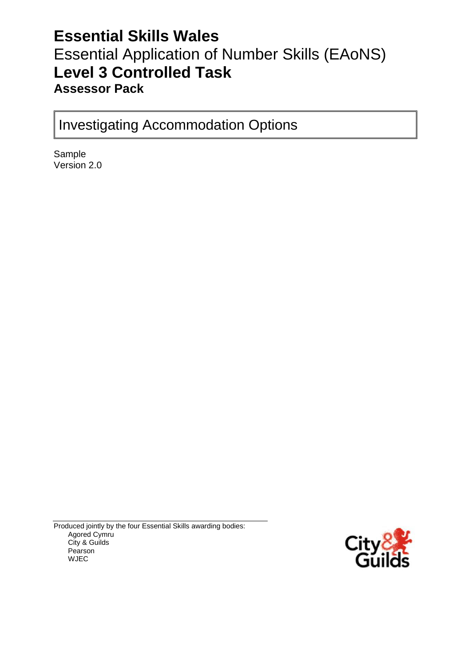# **Essential Skills Wales** Essential Application of Number Skills (EAoNS) **Level 3 Controlled Task Assessor Pack**

Investigating Accommodation Options

Sample Version 2.0

Produced jointly by the four Essential Skills awarding bodies: Agored Cymru City & Guilds Pearson WJEC

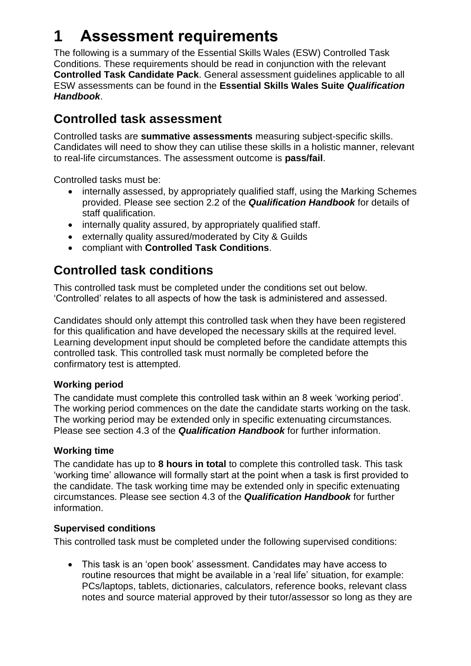# **1 Assessment requirements**

The following is a summary of the Essential Skills Wales (ESW) Controlled Task Conditions. These requirements should be read in conjunction with the relevant **Controlled Task Candidate Pack**. General assessment guidelines applicable to all ESW assessments can be found in the **Essential Skills Wales Suite** *Qualification Handbook*.

### **Controlled task assessment**

Controlled tasks are **summative assessments** measuring subject-specific skills. Candidates will need to show they can utilise these skills in a holistic manner, relevant to real-life circumstances. The assessment outcome is **pass/fail**.

Controlled tasks must be:

- internally assessed, by appropriately qualified staff, using the Marking Schemes provided. Please see section 2.2 of the *Qualification Handbook* for details of staff qualification.
- internally quality assured, by appropriately qualified staff.
- externally quality assured/moderated by City & Guilds
- compliant with **Controlled Task Conditions**.

## **Controlled task conditions**

This controlled task must be completed under the conditions set out below. 'Controlled' relates to all aspects of how the task is administered and assessed.

Candidates should only attempt this controlled task when they have been registered for this qualification and have developed the necessary skills at the required level. Learning development input should be completed before the candidate attempts this controlled task. This controlled task must normally be completed before the confirmatory test is attempted.

### **Working period**

The candidate must complete this controlled task within an 8 week 'working period'. The working period commences on the date the candidate starts working on the task. The working period may be extended only in specific extenuating circumstances. Please see section 4.3 of the *Qualification Handbook* for further information.

### **Working time**

The candidate has up to **8 hours in total** to complete this controlled task. This task 'working time' allowance will formally start at the point when a task is first provided to the candidate. The task working time may be extended only in specific extenuating circumstances. Please see section 4.3 of the *Qualification Handbook* for further information.

### **Supervised conditions**

This controlled task must be completed under the following supervised conditions:

 This task is an 'open book' assessment. Candidates may have access to routine resources that might be available in a 'real life' situation, for example: PCs/laptops, tablets, dictionaries, calculators, reference books, relevant class notes and source material approved by their tutor/assessor so long as they are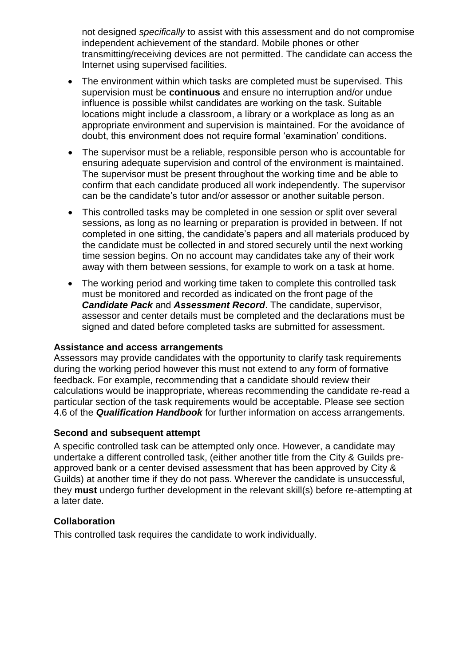not designed *specifically* to assist with this assessment and do not compromise independent achievement of the standard. Mobile phones or other transmitting/receiving devices are not permitted. The candidate can access the Internet using supervised facilities.

- The environment within which tasks are completed must be supervised. This supervision must be **continuous** and ensure no interruption and/or undue influence is possible whilst candidates are working on the task. Suitable locations might include a classroom, a library or a workplace as long as an appropriate environment and supervision is maintained. For the avoidance of doubt, this environment does not require formal 'examination' conditions.
- The supervisor must be a reliable, responsible person who is accountable for ensuring adequate supervision and control of the environment is maintained. The supervisor must be present throughout the working time and be able to confirm that each candidate produced all work independently. The supervisor can be the candidate's tutor and/or assessor or another suitable person.
- This controlled tasks may be completed in one session or split over several sessions, as long as no learning or preparation is provided in between. If not completed in one sitting, the candidate's papers and all materials produced by the candidate must be collected in and stored securely until the next working time session begins. On no account may candidates take any of their work away with them between sessions, for example to work on a task at home.
- The working period and working time taken to complete this controlled task must be monitored and recorded as indicated on the front page of the *Candidate Pack* and *Assessment Record*. The candidate, supervisor, assessor and center details must be completed and the declarations must be signed and dated before completed tasks are submitted for assessment.

#### **Assistance and access arrangements**

Assessors may provide candidates with the opportunity to clarify task requirements during the working period however this must not extend to any form of formative feedback. For example, recommending that a candidate should review their calculations would be inappropriate, whereas recommending the candidate re-read a particular section of the task requirements would be acceptable. Please see section 4.6 of the *Qualification Handbook* for further information on access arrangements.

#### **Second and subsequent attempt**

A specific controlled task can be attempted only once. However, a candidate may undertake a different controlled task, (either another title from the City & Guilds preapproved bank or a center devised assessment that has been approved by City & Guilds) at another time if they do not pass. Wherever the candidate is unsuccessful, they **must** undergo further development in the relevant skill(s) before re-attempting at a later date.

#### **Collaboration**

This controlled task requires the candidate to work individually.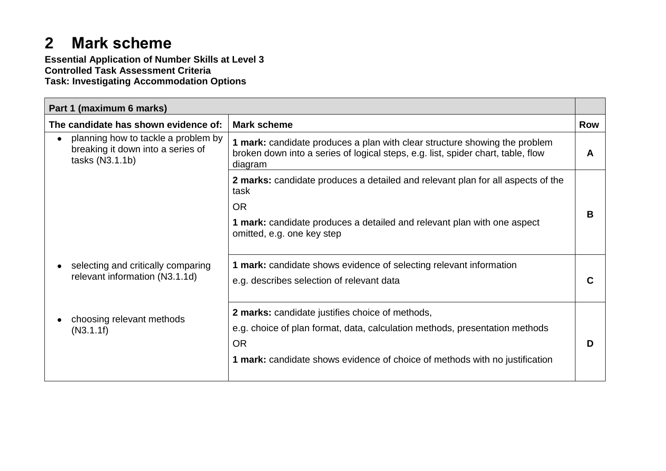# **2 Mark scheme**

**Essential Application of Number Skills at Level 3 Controlled Task Assessment Criteria Task: Investigating Accommodation Options**

| Part 1 (maximum 6 marks)                                                                                 |                                                                                                                                                                           |            |
|----------------------------------------------------------------------------------------------------------|---------------------------------------------------------------------------------------------------------------------------------------------------------------------------|------------|
| The candidate has shown evidence of:                                                                     | <b>Mark scheme</b>                                                                                                                                                        | <b>Row</b> |
| planning how to tackle a problem by<br>$\bullet$<br>breaking it down into a series of<br>tasks (N3.1.1b) | 1 mark: candidate produces a plan with clear structure showing the problem<br>broken down into a series of logical steps, e.g. list, spider chart, table, flow<br>diagram | A          |
|                                                                                                          | 2 marks: candidate produces a detailed and relevant plan for all aspects of the<br>task                                                                                   |            |
|                                                                                                          | <b>OR</b>                                                                                                                                                                 | В          |
|                                                                                                          | <b>1 mark:</b> candidate produces a detailed and relevant plan with one aspect<br>omitted, e.g. one key step                                                              |            |
| selecting and critically comparing                                                                       | 1 mark: candidate shows evidence of selecting relevant information                                                                                                        |            |
| relevant information (N3.1.1d)                                                                           | e.g. describes selection of relevant data                                                                                                                                 |            |
|                                                                                                          | 2 marks: candidate justifies choice of methods,                                                                                                                           |            |
| choosing relevant methods<br>(N3.1.1f)                                                                   | e.g. choice of plan format, data, calculation methods, presentation methods                                                                                               |            |
|                                                                                                          | <b>OR</b>                                                                                                                                                                 |            |
|                                                                                                          | 1 mark: candidate shows evidence of choice of methods with no justification                                                                                               |            |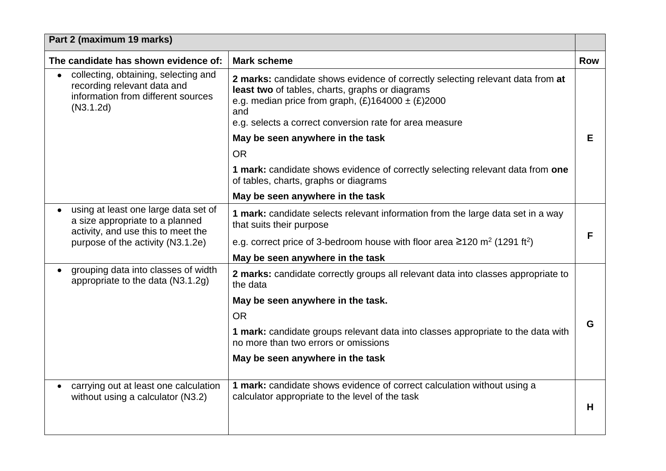| Part 2 (maximum 19 marks)                                                                                              |                                                                                                                                                                                                                                                              |            |
|------------------------------------------------------------------------------------------------------------------------|--------------------------------------------------------------------------------------------------------------------------------------------------------------------------------------------------------------------------------------------------------------|------------|
| The candidate has shown evidence of:                                                                                   | <b>Mark scheme</b>                                                                                                                                                                                                                                           | <b>Row</b> |
| collecting, obtaining, selecting and<br>recording relevant data and<br>information from different sources<br>(N3.1.2d) | 2 marks: candidate shows evidence of correctly selecting relevant data from at<br>least two of tables, charts, graphs or diagrams<br>e.g. median price from graph, $(E)164000 \pm (E)2000$<br>and<br>e.g. selects a correct conversion rate for area measure |            |
|                                                                                                                        | May be seen anywhere in the task                                                                                                                                                                                                                             | Е          |
|                                                                                                                        | <b>OR</b>                                                                                                                                                                                                                                                    |            |
|                                                                                                                        | 1 mark: candidate shows evidence of correctly selecting relevant data from one<br>of tables, charts, graphs or diagrams                                                                                                                                      |            |
|                                                                                                                        | May be seen anywhere in the task                                                                                                                                                                                                                             |            |
| using at least one large data set of<br>a size appropriate to a planned<br>activity, and use this to meet the          | 1 mark: candidate selects relevant information from the large data set in a way<br>that suits their purpose                                                                                                                                                  |            |
| purpose of the activity (N3.1.2e)                                                                                      | e.g. correct price of 3-bedroom house with floor area $\geq 120$ m <sup>2</sup> (1291 ft <sup>2</sup> )                                                                                                                                                      | F          |
|                                                                                                                        | May be seen anywhere in the task                                                                                                                                                                                                                             |            |
| grouping data into classes of width<br>appropriate to the data (N3.1.2g)                                               | 2 marks: candidate correctly groups all relevant data into classes appropriate to<br>the data                                                                                                                                                                |            |
|                                                                                                                        | May be seen anywhere in the task.                                                                                                                                                                                                                            |            |
|                                                                                                                        | <b>OR</b>                                                                                                                                                                                                                                                    | G          |
|                                                                                                                        | 1 mark: candidate groups relevant data into classes appropriate to the data with<br>no more than two errors or omissions                                                                                                                                     |            |
|                                                                                                                        | May be seen anywhere in the task                                                                                                                                                                                                                             |            |
| carrying out at least one calculation<br>without using a calculator (N3.2)                                             | 1 mark: candidate shows evidence of correct calculation without using a<br>calculator appropriate to the level of the task                                                                                                                                   | H          |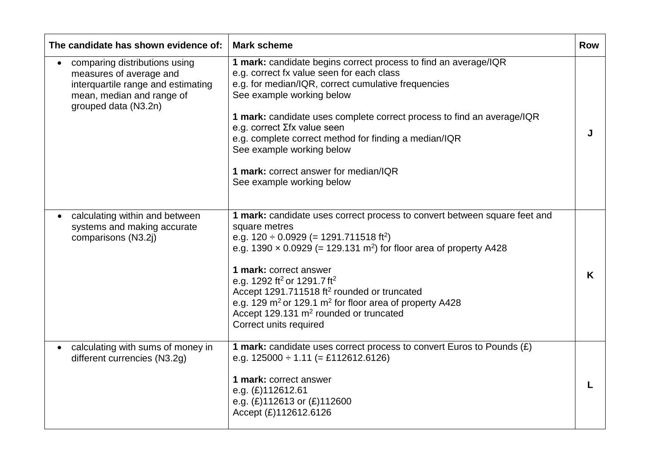| The candidate has shown evidence of:                                                                                                                             | <b>Mark scheme</b>                                                                                                                                                                                                                                                                                                                                                                                                                                                                                                                        |   |
|------------------------------------------------------------------------------------------------------------------------------------------------------------------|-------------------------------------------------------------------------------------------------------------------------------------------------------------------------------------------------------------------------------------------------------------------------------------------------------------------------------------------------------------------------------------------------------------------------------------------------------------------------------------------------------------------------------------------|---|
| comparing distributions using<br>$\bullet$<br>measures of average and<br>interquartile range and estimating<br>mean, median and range of<br>grouped data (N3.2n) | 1 mark: candidate begins correct process to find an average/IQR<br>e.g. correct fx value seen for each class<br>e.g. for median/IQR, correct cumulative frequencies<br>See example working below<br>1 mark: candidate uses complete correct process to find an average/IQR<br>e.g. correct Σfx value seen<br>e.g. complete correct method for finding a median/IQR<br>See example working below<br>1 mark: correct answer for median/IQR<br>See example working below                                                                     | J |
| calculating within and between<br>systems and making accurate<br>comparisons (N3.2j)                                                                             | 1 mark: candidate uses correct process to convert between square feet and<br>square metres<br>e.g. $120 \div 0.0929$ (= 1291.711518 ft <sup>2</sup> )<br>e.g. 1390 $\times$ 0.0929 (= 129.131 m <sup>2</sup> ) for floor area of property A428<br>1 mark: correct answer<br>e.g. 1292 ft <sup>2</sup> or 1291.7 ft <sup>2</sup><br>Accept 1291.711518 ft <sup>2</sup> rounded or truncated<br>e.g. 129 $m2$ or 129.1 $m2$ for floor area of property A428<br>Accept 129.131 m <sup>2</sup> rounded or truncated<br>Correct units required | K |
| calculating with sums of money in<br>different currencies (N3.2g)                                                                                                | 1 mark: candidate uses correct process to convert Euros to Pounds (£)<br>e.g. $125000 \div 1.11$ (= £112612.6126)<br>1 mark: correct answer<br>e.g. (£)112612.61<br>e.g. $(E)$ 112613 or $(E)$ 112600<br>Accept (£)112612.6126                                                                                                                                                                                                                                                                                                            | L |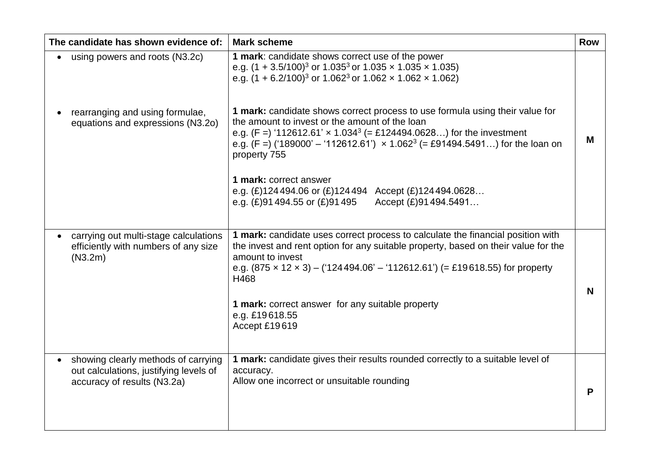| The candidate has shown evidence of:                                                                         | <b>Mark scheme</b>                                                                                                                                                                                                                                                                                                                                                                                                                                                                                                                                                                                                                                                                                    | <b>Row</b> |
|--------------------------------------------------------------------------------------------------------------|-------------------------------------------------------------------------------------------------------------------------------------------------------------------------------------------------------------------------------------------------------------------------------------------------------------------------------------------------------------------------------------------------------------------------------------------------------------------------------------------------------------------------------------------------------------------------------------------------------------------------------------------------------------------------------------------------------|------------|
| using powers and roots (N3.2c)<br>rearranging and using formulae,<br>equations and expressions (N3.2o)       | 1 mark: candidate shows correct use of the power<br>e.g. $(1 + 3.5/100)^3$ or 1.035 <sup>3</sup> or 1.035 x 1.035 x 1.035)<br>e.g. $(1 + 6.2/100)^3$ or 1.062 <sup>3</sup> or 1.062 x 1.062 x 1.062)<br>1 mark: candidate shows correct process to use formula using their value for<br>the amount to invest or the amount of the loan<br>e.g. $(F = 112612.61' \times 1.034^3 (= \pounds124494.0628)$ for the investment<br>e.g. $(F =)$ ('189000' – '112612.61') $\times$ 1.062 <sup>3</sup> (= £91494.5491) for the loan on<br>property 755<br>1 mark: correct answer<br>e.g. $(E)$ 124494.06 or $(E)$ 124494 Accept $(E)$ 124494.0628<br>Accept (£)91494.5491<br>e.g. $(E)91494.55$ or $(E)91495$ | M          |
| carrying out multi-stage calculations<br>efficiently with numbers of any size<br>(N3.2m)                     | 1 mark: candidate uses correct process to calculate the financial position with<br>the invest and rent option for any suitable property, based on their value for the<br>amount to invest<br>e.g. $(875 \times 12 \times 3) - (124494.06' - 112612.61')$ (= £19618.55) for property<br>H468<br>1 mark: correct answer for any suitable property<br>e.g. £19618.55<br>Accept £19619                                                                                                                                                                                                                                                                                                                    | N          |
| showing clearly methods of carrying<br>out calculations, justifying levels of<br>accuracy of results (N3.2a) | 1 mark: candidate gives their results rounded correctly to a suitable level of<br>accuracy.<br>Allow one incorrect or unsuitable rounding                                                                                                                                                                                                                                                                                                                                                                                                                                                                                                                                                             | P          |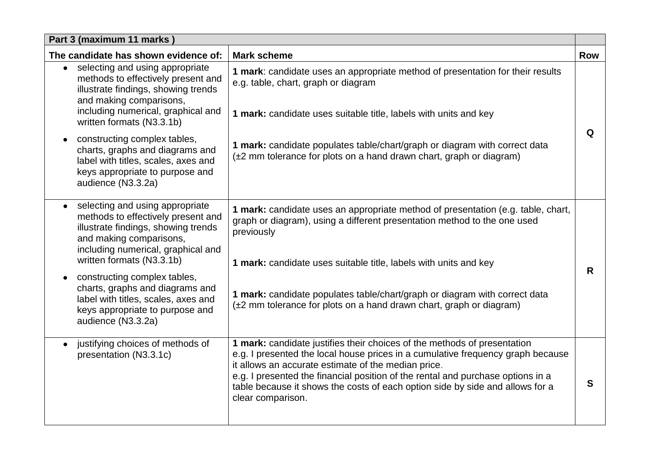| Part 3 (maximum 11 marks)                                                                                                                                                                                               |                                                                                                                                                                                                                                                                                                                                                                                                             |            |
|-------------------------------------------------------------------------------------------------------------------------------------------------------------------------------------------------------------------------|-------------------------------------------------------------------------------------------------------------------------------------------------------------------------------------------------------------------------------------------------------------------------------------------------------------------------------------------------------------------------------------------------------------|------------|
| The candidate has shown evidence of:                                                                                                                                                                                    | <b>Mark scheme</b>                                                                                                                                                                                                                                                                                                                                                                                          | <b>Row</b> |
| selecting and using appropriate<br>$\bullet$<br>methods to effectively present and<br>illustrate findings, showing trends<br>and making comparisons,<br>including numerical, graphical and<br>written formats (N3.3.1b) | 1 mark: candidate uses an appropriate method of presentation for their results<br>e.g. table, chart, graph or diagram<br>1 mark: candidate uses suitable title, labels with units and key                                                                                                                                                                                                                   |            |
| constructing complex tables,<br>charts, graphs and diagrams and<br>label with titles, scales, axes and<br>keys appropriate to purpose and<br>audience (N3.3.2a)                                                         | 1 mark: candidate populates table/chart/graph or diagram with correct data<br>(±2 mm tolerance for plots on a hand drawn chart, graph or diagram)                                                                                                                                                                                                                                                           | Q          |
| selecting and using appropriate<br>methods to effectively present and<br>illustrate findings, showing trends<br>and making comparisons,<br>including numerical, graphical and<br>written formats (N3.3.1b)              | 1 mark: candidate uses an appropriate method of presentation (e.g. table, chart,<br>graph or diagram), using a different presentation method to the one used<br>previously<br>1 mark: candidate uses suitable title, labels with units and key                                                                                                                                                              |            |
| constructing complex tables,<br>$\bullet$<br>charts, graphs and diagrams and<br>label with titles, scales, axes and<br>keys appropriate to purpose and<br>audience (N3.3.2a)                                            | 1 mark: candidate populates table/chart/graph or diagram with correct data<br>(±2 mm tolerance for plots on a hand drawn chart, graph or diagram)                                                                                                                                                                                                                                                           | R          |
| justifying choices of methods of<br>$\bullet$<br>presentation (N3.3.1c)                                                                                                                                                 | 1 mark: candidate justifies their choices of the methods of presentation<br>e.g. I presented the local house prices in a cumulative frequency graph because<br>it allows an accurate estimate of the median price.<br>e.g. I presented the financial position of the rental and purchase options in a<br>table because it shows the costs of each option side by side and allows for a<br>clear comparison. | S          |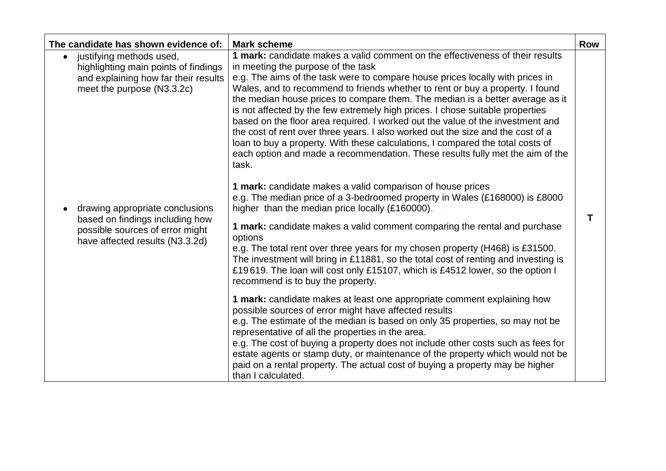| The candidate has shown evidence of:                                                                  | <b>Mark scheme</b>                                                                                                                                                                                                                                                                                                                                                                                                                                                                                                                                                                                                                                                                | <b>Row</b> |
|-------------------------------------------------------------------------------------------------------|-----------------------------------------------------------------------------------------------------------------------------------------------------------------------------------------------------------------------------------------------------------------------------------------------------------------------------------------------------------------------------------------------------------------------------------------------------------------------------------------------------------------------------------------------------------------------------------------------------------------------------------------------------------------------------------|------------|
| justifying methods used,<br>$\bullet$<br>highlighting main points of findings                         | 1 mark: candidate makes a valid comment on the effectiveness of their results<br>in meeting the purpose of the task                                                                                                                                                                                                                                                                                                                                                                                                                                                                                                                                                               |            |
| and explaining how far their results<br>meet the purpose (N3.3.2c)                                    | e.g. The aims of the task were to compare house prices locally with prices in<br>Wales, and to recommend to friends whether to rent or buy a property. I found<br>the median house prices to compare them. The median is a better average as it<br>is not affected by the few extremely high prices. I chose suitable properties<br>based on the floor area required. I worked out the value of the investment and<br>the cost of rent over three years. I also worked out the size and the cost of a<br>loan to buy a property. With these calculations, I compared the total costs of<br>each option and made a recommendation. These results fully met the aim of the<br>task. |            |
| drawing appropriate conclusions<br>$\bullet$                                                          | <b>1 mark:</b> candidate makes a valid comparison of house prices<br>e.g. The median price of a 3-bedroomed property in Wales (£168000) is £8000<br>higher than the median price locally (£160000).                                                                                                                                                                                                                                                                                                                                                                                                                                                                               |            |
| based on findings including how<br>possible sources of error might<br>have affected results (N3.3.2d) | 1 mark: candidate makes a valid comment comparing the rental and purchase<br>options<br>e.g. The total rent over three years for my chosen property (H468) is £31500.<br>The investment will bring in £11881, so the total cost of renting and investing is<br>£19619. The loan will cost only £15107, which is £4512 lower, so the option I<br>recommend is to buy the property.                                                                                                                                                                                                                                                                                                 | Τ          |
|                                                                                                       | 1 mark: candidate makes at least one appropriate comment explaining how<br>possible sources of error might have affected results<br>e.g. The estimate of the median is based on only 35 properties, so may not be<br>representative of all the properties in the area.<br>e.g. The cost of buying a property does not include other costs such as fees for<br>estate agents or stamp duty, or maintenance of the property which would not be<br>paid on a rental property. The actual cost of buying a property may be higher<br>than I calculated.                                                                                                                               |            |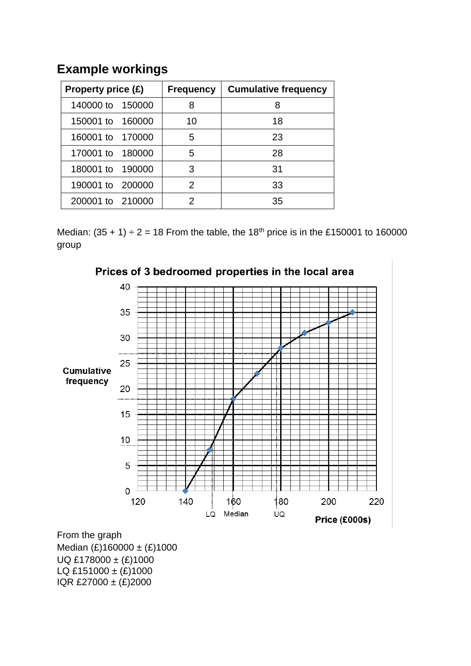### **Example workings**

| Property price (£) | <b>Frequency</b> | <b>Cumulative frequency</b> |
|--------------------|------------------|-----------------------------|
| 140000 to 150000   | 8                |                             |
| 150001 to 160000   | 10               | 18                          |
| 160001 to 170000   | 5                | 23                          |
| 170001 to 180000   | 5                | 28                          |
| 180001 to 190000   | 3                | 31                          |
| 190001 to 200000   | $\mathcal{P}$    | 33                          |
| 200001 to 210000   | 2                | 35                          |

Median:  $(35 + 1) \div 2 = 18$  From the table, the 18<sup>th</sup> price is in the £150001 to 160000 group



Prices of 3 bedroomed properties in the local area

From the graph Median  $(E)160000 \pm (E)1000$ UQ £178000 ± (£)1000 LQ £151000 ±  $(E)$ 1000 IQR £27000 ± (£)2000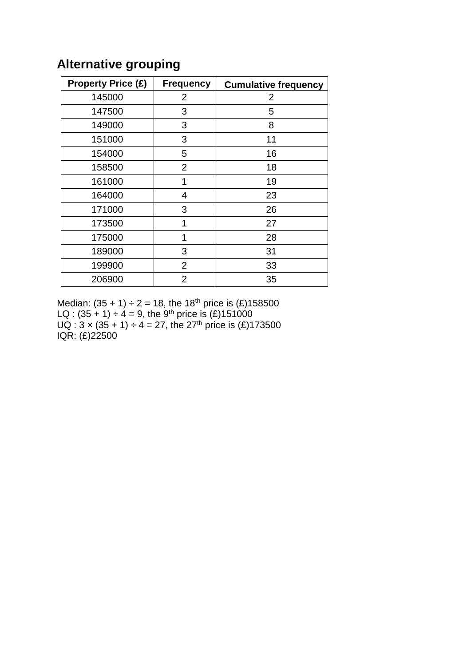| <b>Property Price (£)</b> | <b>Frequency</b> | <b>Cumulative frequency</b> |
|---------------------------|------------------|-----------------------------|
| 145000                    | 2                | 2                           |
| 147500                    | 3                | 5                           |
| 149000                    | 3                | 8                           |
| 151000                    | 3                | 11                          |
| 154000                    | 5                | 16                          |
| 158500                    | $\overline{2}$   | 18                          |
| 161000                    | 1                | 19                          |
| 164000                    | 4                | 23                          |
| 171000                    | 3                | 26                          |
| 173500                    | 1                | 27                          |
| 175000                    | 1                | 28                          |
| 189000                    | 3                | 31                          |
| 199900                    | $\overline{2}$   | 33                          |
| 206900                    | $\overline{2}$   | 35                          |

## **Alternative grouping**

Median:  $(35 + 1) \div 2 = 18$ , the 18<sup>th</sup> price is  $(E)$ LQ :  $(35 + 1) \div 4 = 9$ , the 9<sup>th</sup> price is  $(E)$  $UQ: 3 \times (35 + 1) \div 4 = 27$ , the 27<sup>th</sup> price is  $(E)$ IQR: (£)22500